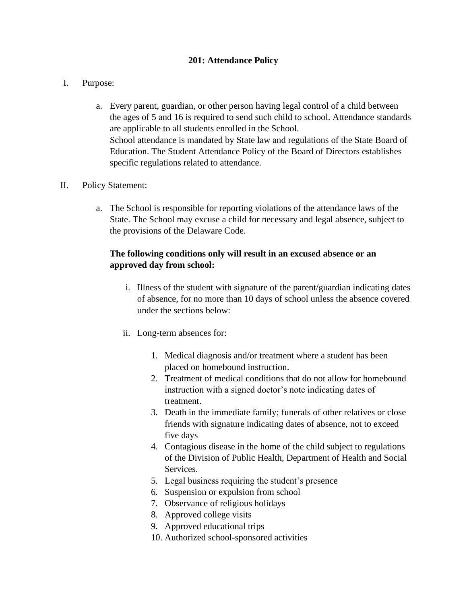## **201: Attendance Policy**

### I. Purpose:

a. Every parent, guardian, or other person having legal control of a child between the ages of 5 and 16 is required to send such child to school. Attendance standards are applicable to all students enrolled in the School. School attendance is mandated by State law and regulations of the State Board of Education. The Student Attendance Policy of the Board of Directors establishes specific regulations related to attendance.

#### II. Policy Statement:

a. The School is responsible for reporting violations of the attendance laws of the State. The School may excuse a child for necessary and legal absence, subject to the provisions of the Delaware Code.

# **The following conditions only will result in an excused absence or an approved day from school:**

- i. Illness of the student with signature of the parent/guardian indicating dates of absence, for no more than 10 days of school unless the absence covered under the sections below:
- ii. Long-term absences for:
	- 1. Medical diagnosis and/or treatment where a student has been placed on homebound instruction.
	- 2. Treatment of medical conditions that do not allow for homebound instruction with a signed doctor's note indicating dates of treatment.
	- 3. Death in the immediate family; funerals of other relatives or close friends with signature indicating dates of absence, not to exceed five days
	- 4. Contagious disease in the home of the child subject to regulations of the Division of Public Health, Department of Health and Social Services.
	- 5. Legal business requiring the student's presence
	- 6. Suspension or expulsion from school
	- 7. Observance of religious holidays
	- 8. Approved college visits
	- 9. Approved educational trips
	- 10. Authorized school-sponsored activities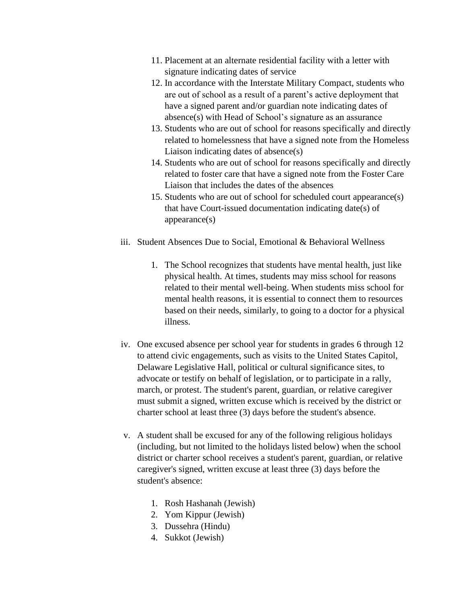- 11. Placement at an alternate residential facility with a letter with signature indicating dates of service
- 12. In accordance with the Interstate Military Compact, students who are out of school as a result of a parent's active deployment that have a signed parent and/or guardian note indicating dates of absence(s) with Head of School's signature as an assurance
- 13. Students who are out of school for reasons specifically and directly related to homelessness that have a signed note from the Homeless Liaison indicating dates of absence(s)
- 14. Students who are out of school for reasons specifically and directly related to foster care that have a signed note from the Foster Care Liaison that includes the dates of the absences
- 15. Students who are out of school for scheduled court appearance(s) that have Court-issued documentation indicating date(s) of appearance(s)
- iii. Student Absences Due to Social, Emotional & Behavioral Wellness
	- 1. The School recognizes that students have mental health, just like physical health. At times, students may miss school for reasons related to their mental well-being. When students miss school for mental health reasons, it is essential to connect them to resources based on their needs, similarly, to going to a doctor for a physical illness.
- iv. One excused absence per school year for students in grades 6 through 12 to attend civic engagements, such as visits to the United States Capitol, Delaware Legislative Hall, political or cultural significance sites, to advocate or testify on behalf of legislation, or to participate in a rally, march, or protest. The student's parent, guardian, or relative caregiver must submit a signed, written excuse which is received by the district or charter school at least three (3) days before the student's absence.
- v. A student shall be excused for any of the following religious holidays (including, but not limited to the holidays listed below) when the school district or charter school receives a student's parent, guardian, or relative caregiver's signed, written excuse at least three (3) days before the student's absence:
	- 1. Rosh Hashanah (Jewish)
	- 2. Yom Kippur (Jewish)
	- 3. Dussehra (Hindu)
	- 4. Sukkot (Jewish)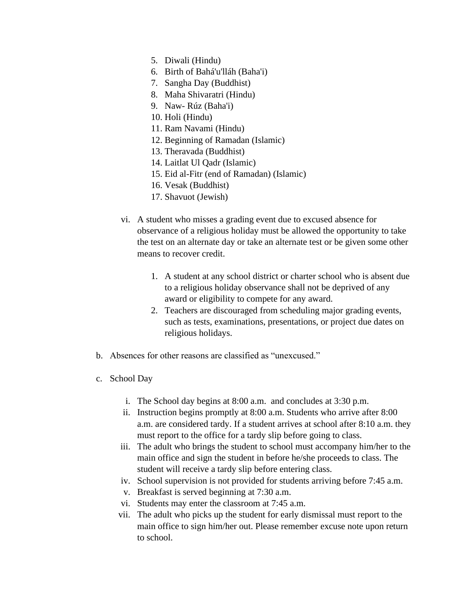- 5. Diwali (Hindu)
- 6. Birth of Bahá'u'lláh (Baha'i)
- 7. Sangha Day (Buddhist)
- 8. Maha Shivaratri (Hindu)
- 9. Naw- Rúz (Baha'i)
- 10. Holi (Hindu)
- 11. Ram Navami (Hindu)
- 12. Beginning of Ramadan (Islamic)
- 13. Theravada (Buddhist)
- 14. Laitlat Ul Qadr (Islamic)
- 15. Eid al-Fitr (end of Ramadan) (Islamic)
- 16. Vesak (Buddhist)
- 17. Shavuot (Jewish)
- vi. A student who misses a grading event due to excused absence for observance of a religious holiday must be allowed the opportunity to take the test on an alternate day or take an alternate test or be given some other means to recover credit.
	- 1. A student at any school district or charter school who is absent due to a religious holiday observance shall not be deprived of any award or eligibility to compete for any award.
	- 2. Teachers are discouraged from scheduling major grading events, such as tests, examinations, presentations, or project due dates on religious holidays.
- b. Absences for other reasons are classified as "unexcused."
- c. School Day
	- i. The School day begins at 8:00 a.m. and concludes at 3:30 p.m.
	- ii. Instruction begins promptly at 8:00 a.m. Students who arrive after 8:00 a.m. are considered tardy. If a student arrives at school after 8:10 a.m. they must report to the office for a tardy slip before going to class.
	- iii. The adult who brings the student to school must accompany him/her to the main office and sign the student in before he/she proceeds to class. The student will receive a tardy slip before entering class.
	- iv. School supervision is not provided for students arriving before 7:45 a.m.
	- v. Breakfast is served beginning at 7:30 a.m.
	- vi. Students may enter the classroom at 7:45 a.m.
	- vii. The adult who picks up the student for early dismissal must report to the main office to sign him/her out. Please remember excuse note upon return to school.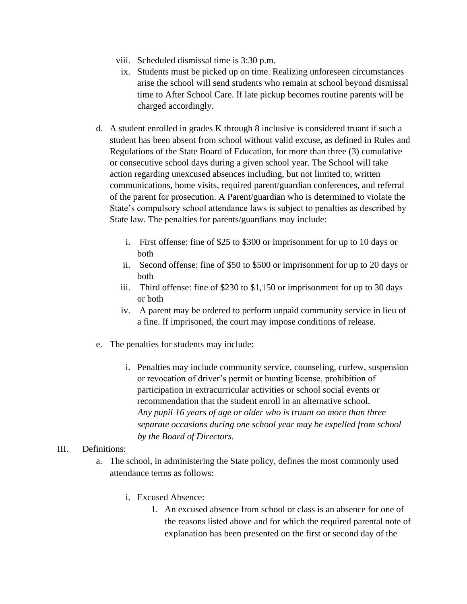- viii. Scheduled dismissal time is 3:30 p.m.
- ix. Students must be picked up on time. Realizing unforeseen circumstances arise the school will send students who remain at school beyond dismissal time to After School Care. If late pickup becomes routine parents will be charged accordingly.
- d. A student enrolled in grades K through 8 inclusive is considered truant if such a student has been absent from school without valid excuse, as defined in Rules and Regulations of the State Board of Education, for more than three (3) cumulative or consecutive school days during a given school year. The School will take action regarding unexcused absences including, but not limited to, written communications, home visits, required parent/guardian conferences, and referral of the parent for prosecution. A Parent/guardian who is determined to violate the State's compulsory school attendance laws is subject to penalties as described by State law. The penalties for parents/guardians may include:
	- i. First offense: fine of \$25 to \$300 or imprisonment for up to 10 days or both
	- ii. Second offense: fine of \$50 to \$500 or imprisonment for up to 20 days or both
	- iii. Third offense: fine of \$230 to \$1,150 or imprisonment for up to 30 days or both
	- iv. A parent may be ordered to perform unpaid community service in lieu of a fine. If imprisoned, the court may impose conditions of release.
- e. The penalties for students may include:
	- i. Penalties may include community service, counseling, curfew, suspension or revocation of driver's permit or hunting license, prohibition of participation in extracurricular activities or school social events or recommendation that the student enroll in an alternative school. *Any pupil 16 years of age or older who is truant on more than three separate occasions during one school year may be expelled from school by the Board of Directors.*

# III. Definitions:

- a. The school, in administering the State policy, defines the most commonly used attendance terms as follows:
	- i. Excused Absence:
		- 1. An excused absence from school or class is an absence for one of the reasons listed above and for which the required parental note of explanation has been presented on the first or second day of the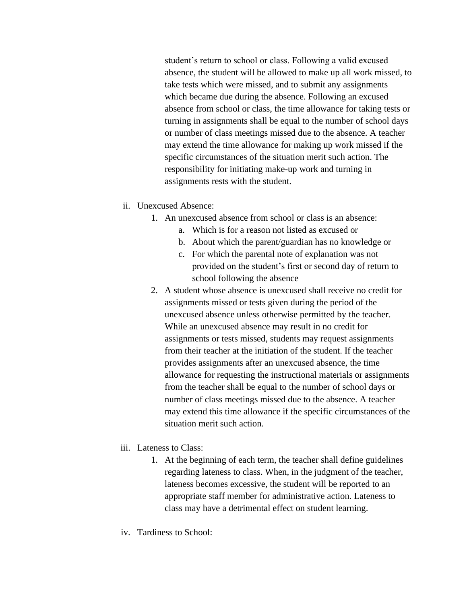student's return to school or class. Following a valid excused absence, the student will be allowed to make up all work missed, to take tests which were missed, and to submit any assignments which became due during the absence. Following an excused absence from school or class, the time allowance for taking tests or turning in assignments shall be equal to the number of school days or number of class meetings missed due to the absence. A teacher may extend the time allowance for making up work missed if the specific circumstances of the situation merit such action. The responsibility for initiating make-up work and turning in assignments rests with the student.

- ii. Unexcused Absence:
	- 1. An unexcused absence from school or class is an absence:
		- a. Which is for a reason not listed as excused or
		- b. About which the parent/guardian has no knowledge or
		- c. For which the parental note of explanation was not provided on the student's first or second day of return to school following the absence
	- 2. A student whose absence is unexcused shall receive no credit for assignments missed or tests given during the period of the unexcused absence unless otherwise permitted by the teacher. While an unexcused absence may result in no credit for assignments or tests missed, students may request assignments from their teacher at the initiation of the student. If the teacher provides assignments after an unexcused absence, the time allowance for requesting the instructional materials or assignments from the teacher shall be equal to the number of school days or number of class meetings missed due to the absence. A teacher may extend this time allowance if the specific circumstances of the situation merit such action.
- iii. Lateness to Class:
	- 1. At the beginning of each term, the teacher shall define guidelines regarding lateness to class. When, in the judgment of the teacher, lateness becomes excessive, the student will be reported to an appropriate staff member for administrative action. Lateness to class may have a detrimental effect on student learning.
- iv. Tardiness to School: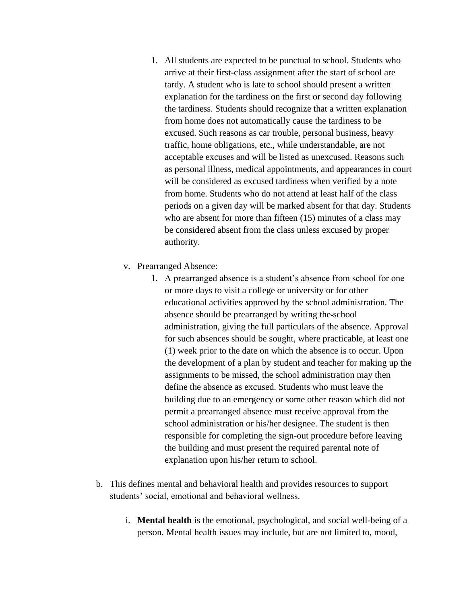- 1. All students are expected to be punctual to school. Students who arrive at their first-class assignment after the start of school are tardy. A student who is late to school should present a written explanation for the tardiness on the first or second day following the tardiness. Students should recognize that a written explanation from home does not automatically cause the tardiness to be excused. Such reasons as car trouble, personal business, heavy traffic, home obligations, etc., while understandable, are not acceptable excuses and will be listed as unexcused. Reasons such as personal illness, medical appointments, and appearances in court will be considered as excused tardiness when verified by a note from home. Students who do not attend at least half of the class periods on a given day will be marked absent for that day. Students who are absent for more than fifteen (15) minutes of a class may be considered absent from the class unless excused by proper authority.
- v. Prearranged Absence:
	- 1. A prearranged absence is a student's absence from school for one or more days to visit a college or university or for other educational activities approved by the school administration. The absence should be prearranged by writing the school administration, giving the full particulars of the absence. Approval for such absences should be sought, where practicable, at least one (1) week prior to the date on which the absence is to occur. Upon the development of a plan by student and teacher for making up the assignments to be missed, the school administration may then define the absence as excused. Students who must leave the building due to an emergency or some other reason which did not permit a prearranged absence must receive approval from the school administration or his/her designee. The student is then responsible for completing the sign-out procedure before leaving the building and must present the required parental note of explanation upon his/her return to school.
- b. This defines mental and behavioral health and provides resources to support students' social, emotional and behavioral wellness.
	- i. **Mental health** is the emotional, psychological, and social well-being of a person. Mental health issues may include, but are not limited to, mood,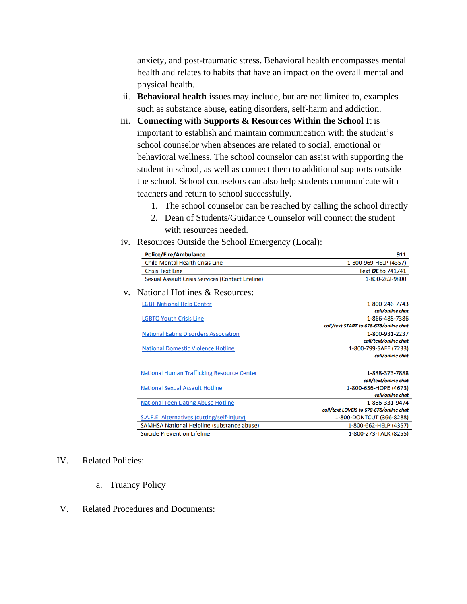anxiety, and post-traumatic stress. Behavioral health encompasses mental health and relates to habits that have an impact on the overall mental and physical health.

- ii. **Behavioral health** issues may include, but are not limited to, examples such as substance abuse, eating disorders, self-harm and addiction.
- iii. **Connecting with Supports & Resources Within the School** It is important to establish and maintain communication with the student's school counselor when absences are related to social, emotional or behavioral wellness. The school counselor can assist with supporting the student in school, as well as connect them to additional supports outside the school. School counselors can also help students communicate with teachers and return to school successfully.
	- 1. The school counselor can be reached by calling the school directly
	- 2. Dean of Students/Guidance Counselor will connect the student with resources needed.
- iv. Resources Outside the School Emergency (Local):

| <b>Police/Fire/Ambulance</b>                      | 911                                     |
|---------------------------------------------------|-----------------------------------------|
| <b>Child Mental Health Crisis Line</b>            | 1-800-969-HELP (4357)                   |
| <b>Crisis Text Line</b>                           | Text DE to 741741                       |
| Sexual Assault Crisis Services (Contact Lifeline) | 1-800-262-9800                          |
| National Hotlines & Resources:<br>V.              |                                         |
| <b>LGBT National Help Center</b>                  | 1-800-246-7743                          |
|                                                   | call/online chat                        |
| <b>LGBTQ Youth Crisis Line</b>                    | 1-866-488-7386                          |
|                                                   | call/text START to 678-678/online chat  |
| <b>National Eating Disorders Association</b>      | 1-800-931-2237                          |
|                                                   | call/text/online chat                   |
| <b>National Domestic Violence Hotline</b>         | 1-800-799-SAFE (7233)                   |
|                                                   | call/online chat                        |
| <b>National Human Trafficking Resource Center</b> | 1-888-373-7888                          |
|                                                   | call/text/online chat                   |
| <b>National Sexual Assault Hotline</b>            | 1-800-656-HOPE (4673)                   |
|                                                   | call/online chat                        |
| <b>National Teen Dating Abuse Hotline</b>         | 1-866-331-9474                          |
|                                                   | call/text LOVEIS to 678-678/online chat |
| S.A.F.E. Alternatives (cutting/self-injury)       | 1-800-DONTCUT (366-8288)                |
| SAMHSA National Helpline (substance abuse)        | 1-800-662-HELP (4357)                   |
| <b>Suicide Prevention Lifeline</b>                | 1-800-273-TALK (8255)                   |

#### IV. Related Policies:

- a. Truancy Policy
- V. Related Procedures and Documents: